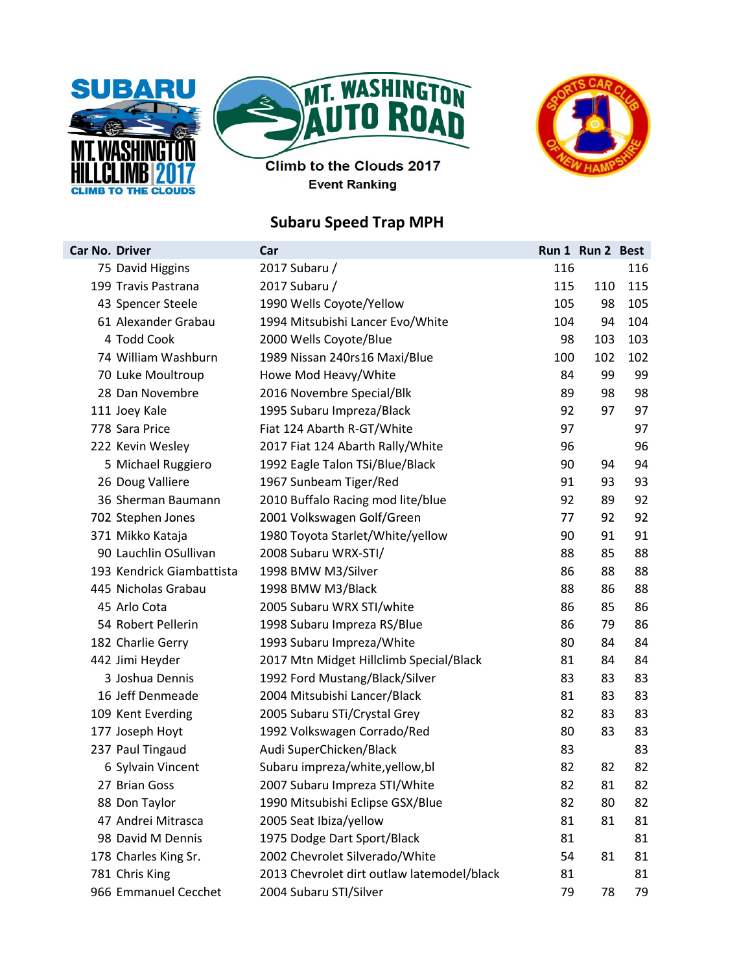





Climb to the Clouds 2017 **Event Ranking** 

## Subaru Speed Trap MPH

| <b>Car No. Driver</b> |                           | Car                                        |     | Run 1 Run 2 Best |     |
|-----------------------|---------------------------|--------------------------------------------|-----|------------------|-----|
|                       | 75 David Higgins          | 2017 Subaru /                              | 116 |                  | 116 |
|                       | 199 Travis Pastrana       | 2017 Subaru /                              | 115 | 110              | 115 |
|                       | 43 Spencer Steele         | 1990 Wells Coyote/Yellow                   | 105 | 98               | 105 |
|                       | 61 Alexander Grabau       | 1994 Mitsubishi Lancer Evo/White           | 104 | 94               | 104 |
|                       | 4 Todd Cook               | 2000 Wells Coyote/Blue                     | 98  | 103              | 103 |
|                       | 74 William Washburn       | 1989 Nissan 240rs16 Maxi/Blue              | 100 | 102              | 102 |
|                       | 70 Luke Moultroup         | Howe Mod Heavy/White                       | 84  | 99               | 99  |
|                       | 28 Dan Novembre           | 2016 Novembre Special/Blk                  | 89  | 98               | 98  |
|                       | 111 Joey Kale             | 1995 Subaru Impreza/Black                  | 92  | 97               | 97  |
|                       | 778 Sara Price            | Fiat 124 Abarth R-GT/White                 | 97  |                  | 97  |
|                       | 222 Kevin Wesley          | 2017 Fiat 124 Abarth Rally/White           | 96  |                  | 96  |
|                       | 5 Michael Ruggiero        | 1992 Eagle Talon TSi/Blue/Black            | 90  | 94               | 94  |
|                       | 26 Doug Valliere          | 1967 Sunbeam Tiger/Red                     | 91  | 93               | 93  |
|                       | 36 Sherman Baumann        | 2010 Buffalo Racing mod lite/blue          | 92  | 89               | 92  |
|                       | 702 Stephen Jones         | 2001 Volkswagen Golf/Green                 | 77  | 92               | 92  |
|                       | 371 Mikko Kataja          | 1980 Toyota Starlet/White/yellow           | 90  | 91               | 91  |
|                       | 90 Lauchlin OSullivan     | 2008 Subaru WRX-STI/                       | 88  | 85               | 88  |
|                       | 193 Kendrick Giambattista | 1998 BMW M3/Silver                         | 86  | 88               | 88  |
|                       | 445 Nicholas Grabau       | 1998 BMW M3/Black                          | 88  | 86               | 88  |
|                       | 45 Arlo Cota              | 2005 Subaru WRX STI/white                  | 86  | 85               | 86  |
|                       | 54 Robert Pellerin        | 1998 Subaru Impreza RS/Blue                | 86  | 79               | 86  |
|                       | 182 Charlie Gerry         | 1993 Subaru Impreza/White                  | 80  | 84               | 84  |
|                       | 442 Jimi Heyder           | 2017 Mtn Midget Hillclimb Special/Black    | 81  | 84               | 84  |
|                       | 3 Joshua Dennis           | 1992 Ford Mustang/Black/Silver             | 83  | 83               | 83  |
|                       | 16 Jeff Denmeade          | 2004 Mitsubishi Lancer/Black               | 81  | 83               | 83  |
|                       | 109 Kent Everding         | 2005 Subaru STi/Crystal Grey               | 82  | 83               | 83  |
|                       | 177 Joseph Hoyt           | 1992 Volkswagen Corrado/Red                | 80  | 83               | 83  |
|                       | 237 Paul Tingaud          | Audi SuperChicken/Black                    | 83  |                  | 83  |
|                       | 6 Sylvain Vincent         | Subaru impreza/white, yellow, bl           | 82  | 82               | 82  |
|                       | 27 Brian Goss             | 2007 Subaru Impreza STI/White              | 82  | 81               | 82  |
|                       | 88 Don Taylor             | 1990 Mitsubishi Eclipse GSX/Blue           | 82  | 80               | 82  |
|                       | 47 Andrei Mitrasca        | 2005 Seat Ibiza/yellow                     | 81  | 81               | 81  |
|                       | 98 David M Dennis         | 1975 Dodge Dart Sport/Black                | 81  |                  | 81  |
|                       | 178 Charles King Sr.      | 2002 Chevrolet Silverado/White             | 54  | 81               | 81  |
|                       | 781 Chris King            | 2013 Chevrolet dirt outlaw latemodel/black | 81  |                  | 81  |
|                       | 966 Emmanuel Cecchet      | 2004 Subaru STI/Silver                     | 79  | 78               | 79  |